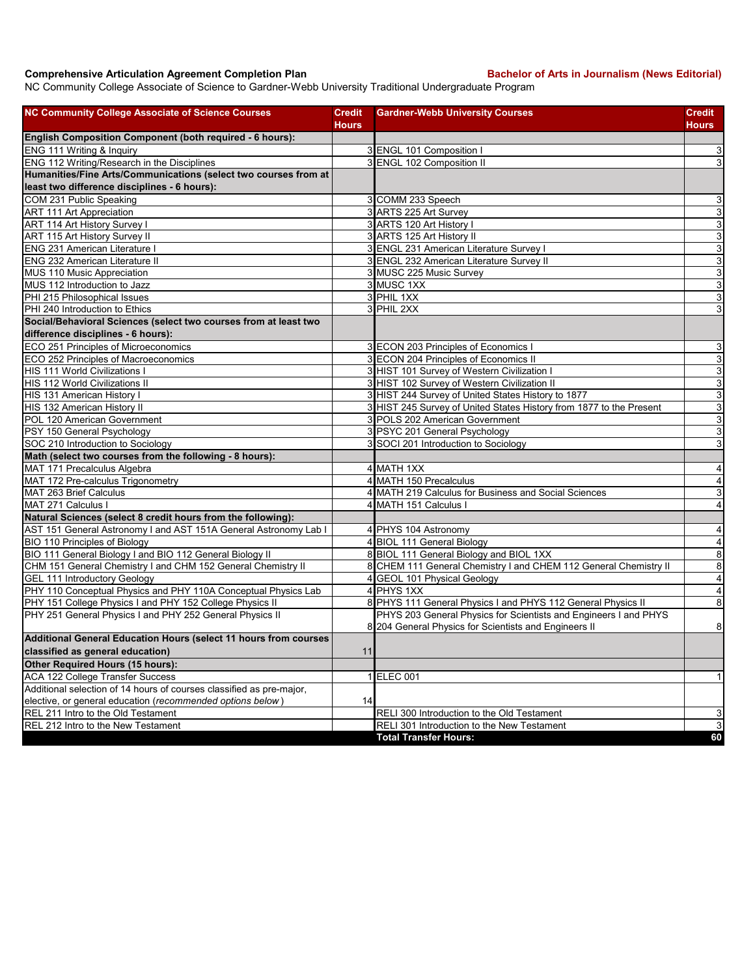## **Comprehensive Articulation Agreement Completion Plan Bachelor of Arts in Journalism (News Editorial)**

NC Community College Associate of Science to Gardner-Webb University Traditional Undergraduate Program

| <b>NC Community College Associate of Science Courses</b>               | <b>Credit</b> | <b>Gardner-Webb University Courses</b>                                                                                    | Credit                       |
|------------------------------------------------------------------------|---------------|---------------------------------------------------------------------------------------------------------------------------|------------------------------|
|                                                                        | Hours         |                                                                                                                           | Hours                        |
| English Composition Component (both required - 6 hours):               |               |                                                                                                                           |                              |
| ENG 111 Writing & Inquiry                                              |               | 3 ENGL 101 Composition                                                                                                    | $\mathbf{3}$                 |
| ENG 112 Writing/Research in the Disciplines                            |               | 3 ENGL 102 Composition II                                                                                                 | 3                            |
| Humanities/Fine Arts/Communications (select two courses from at        |               |                                                                                                                           |                              |
| least two difference disciplines - 6 hours):                           |               |                                                                                                                           |                              |
| COM 231 Public Speaking                                                |               | 3 COMM 233 Speech                                                                                                         | $\mathsf 3$                  |
| ART 111 Art Appreciation                                               |               | 3 ARTS 225 Art Survey                                                                                                     | $\mathsf 3$                  |
| ART 114 Art History Survey I                                           |               | 3 ARTS 120 Art History I                                                                                                  | دن                           |
| ART 115 Art History Survey II                                          |               | 3 ARTS 125 Art History II                                                                                                 | دن                           |
| <b>ENG 231 American Literature I</b>                                   |               | 3 ENGL 231 American Literature Survey I                                                                                   | $\mathbf{3}$                 |
| <b>ENG 232 American Literature II</b>                                  |               | 3 ENGL 232 American Literature Survey II                                                                                  | $\overline{3}$               |
| MUS 110 Music Appreciation                                             |               | 3 MUSC 225 Music Survey                                                                                                   | $\overline{3}$               |
| MUS 112 Introduction to Jazz                                           |               | 3 MUSC 1XX                                                                                                                | 3                            |
| PHI 215 Philosophical Issues<br>PHI 240 Introduction to Ethics         |               | 3 PHIL 1XX                                                                                                                | ω                            |
|                                                                        |               | 3 PHIL 2XX                                                                                                                | 3                            |
| Social/Behavioral Sciences (select two courses from at least two       |               |                                                                                                                           |                              |
| difference disciplines - 6 hours):                                     |               |                                                                                                                           |                              |
| ECO 251 Principles of Microeconomics                                   |               | 3 ECON 203 Principles of Economics I                                                                                      | 3                            |
| ECO 252 Principles of Macroeconomics                                   |               | 3 ECON 204 Principles of Economics II                                                                                     | 3                            |
| HIS 111 World Civilizations I<br><b>HIS 112 World Civilizations II</b> |               | 3 HIST 101 Survey of Western Civilization I<br>3 HIST 102 Survey of Western Civilization II                               | ω                            |
|                                                                        |               |                                                                                                                           | دن                           |
| HIS 131 American History I                                             |               | 3 HIST 244 Survey of United States History to 1877<br>3 HIST 245 Survey of United States History from 1877 to the Present | $\mathsf 3$<br>ω             |
| HIS 132 American History II<br>POL 120 American Government             |               | 3 POLS 202 American Government                                                                                            |                              |
| PSY 150 General Psychology                                             |               |                                                                                                                           | $\mathsf 3$<br>ω             |
| SOC 210 Introduction to Sociology                                      |               | 3 PSYC 201 General Psychology<br>3 SOCI 201 Introduction to Sociology                                                     | 3                            |
| Math (select two courses from the following - 8 hours):                |               |                                                                                                                           |                              |
|                                                                        |               | 4 MATH 1XX                                                                                                                |                              |
| MAT 171 Precalculus Algebra<br>MAT 172 Pre-calculus Trigonometry       |               | 4 MATH 150 Precalculus                                                                                                    | 4<br>$\overline{\mathbf{4}}$ |
| MAT 263 Brief Calculus                                                 |               | 4 MATH 219 Calculus for Business and Social Sciences                                                                      | 3                            |
| MAT 271 Calculus I                                                     |               | 4 MATH 151 Calculus I                                                                                                     | $\overline{4}$               |
| Natural Sciences (select 8 credit hours from the following):           |               |                                                                                                                           |                              |
| AST 151 General Astronomy I and AST 151A General Astronomy Lab I       |               | 4 PHYS 104 Astronomy                                                                                                      | $\overline{\mathbf{4}}$      |
| BIO 110 Principles of Biology                                          |               | 4 BIOL 111 General Biology                                                                                                | $\pmb{4}$                    |
| BIO 111 General Biology I and BIO 112 General Biology II               |               | 8 BIOL 111 General Biology and BIOL 1XX                                                                                   | $\,8\,$                      |
| CHM 151 General Chemistry I and CHM 152 General Chemistry II           |               | 8 CHEM 111 General Chemistry I and CHEM 112 General Chemistry II                                                          | $\bf 8$                      |
| GEL 111 Introductory Geology                                           |               | 4 GEOL 101 Physical Geology                                                                                               | $\blacktriangle$             |
| PHY 110 Conceptual Physics and PHY 110A Conceptual Physics Lab         |               | 4 PHYS 1XX                                                                                                                | $\overline{\mathbf{A}}$      |
| PHY 151 College Physics I and PHY 152 College Physics II               |               | 8 PHYS 111 General Physics I and PHYS 112 General Physics II                                                              | $\bf 8$                      |
| PHY 251 General Physics I and PHY 252 General Physics II               |               | PHYS 203 General Physics for Scientists and Engineers I and PHYS                                                          |                              |
|                                                                        |               | 8 204 General Physics for Scientists and Engineers II                                                                     | $\bf 8$                      |
| Additional General Education Hours (select 11 hours from courses       |               |                                                                                                                           |                              |
| classified as general education)                                       | 11            |                                                                                                                           |                              |
| Other Required Hours (15 hours):                                       |               |                                                                                                                           |                              |
| ACA 122 College Transfer Success                                       |               | 1 ELEC 001                                                                                                                | $\mathbf{1}$                 |
| Additional selection of 14 hours of courses classified as pre-major,   |               |                                                                                                                           |                              |
| elective, or general education (recommended options below)             | 14            |                                                                                                                           |                              |
| REL 211 Intro to the Old Testament                                     |               | RELI 300 Introduction to the Old Testament                                                                                | 3                            |
| REL 212 Intro to the New Testament                                     |               | RELI 301 Introduction to the New Testament                                                                                | دى                           |
|                                                                        |               | <b>Total Transfer Hours:</b>                                                                                              | 60                           |